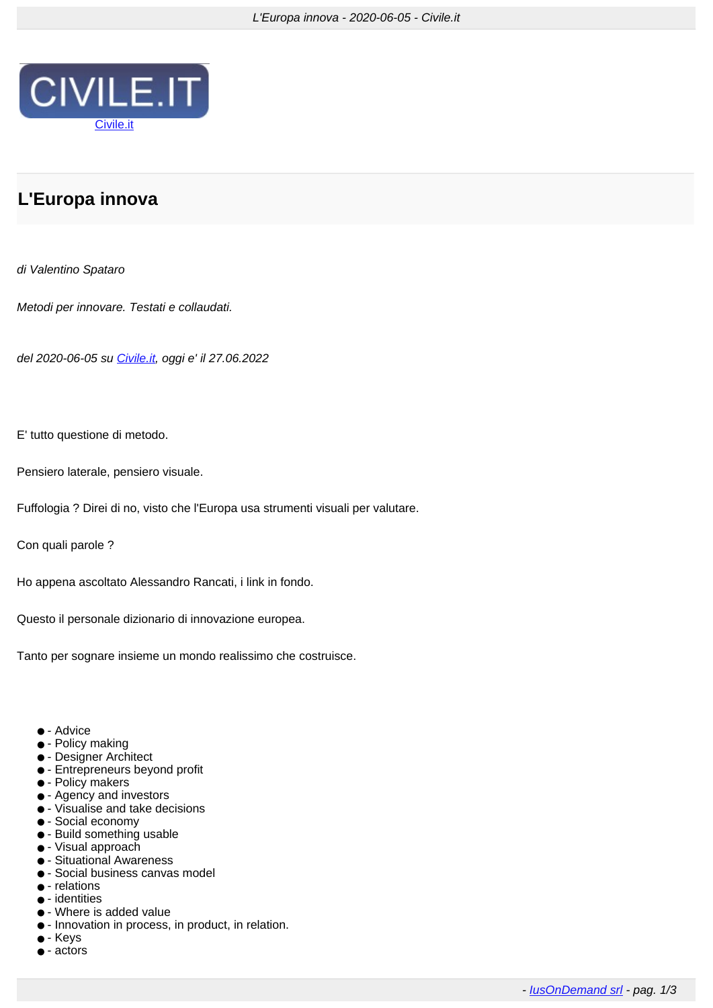

## **L'Europa innova**

## di Valentino Spataro

Metodi per innovare. Testati e collaudati.

del 2020-06-05 su [Civile.it,](https://www.civile.it/news/visual.php?num=95037) oggi e' il 27.06.2022

E' tutto questione di metodo.

Pensiero laterale, pensiero visuale.

Fuffologia ? Direi di no, visto che l'Europa usa strumenti visuali per valutare.

Con quali parole ?

Ho appena ascoltato Alessandro Rancati, i link in fondo.

Questo il personale dizionario di innovazione europea.

Tanto per sognare insieme un mondo realissimo che costruisce.

- - Advice
- - Policy making
- - Designer Architect
- - Entrepreneurs beyond profit
- - Policy makers
- - Agency and investors
- - Visualise and take decisions
- - Social economy
- - Build something usable
- - Visual approach
- - Situational Awareness
- - Social business canvas model
- - relations
- - identities
- - Where is added value
- - Innovation in process, in product, in relation.
- - Keys
- - actors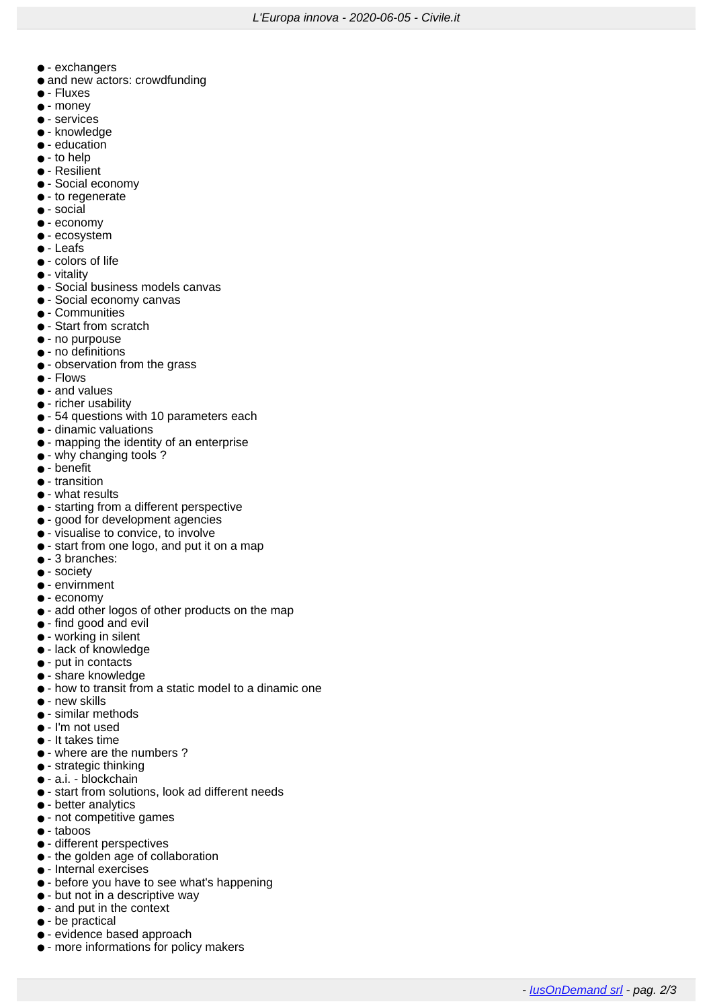- - exchangers
- and new actors: crowdfunding
- - Fluxes
- - money
- - services
- - knowledge
- - education
- - to help
- - Resilient
- - Social economy
- - to regenerate
- - social
- - economy
- - ecosystem
- - Leafs
- - colors of life
- - vitality
- - Social business models canvas
- - Social economy canvas
- - Communities
- - Start from scratch
- - no purpouse
- - no definitions
- - observation from the grass
- - Flows
- - and values
- - richer usability
- - 54 questions with 10 parameters each
- - dinamic valuations
- - mapping the identity of an enterprise
- - why changing tools ?
- - benefit
- - transition
- - what results
- - starting from a different perspective
- - good for development agencies
- - visualise to convice, to involve
- - start from one logo, and put it on a map
- - 3 branches:
- - society
- - envirnment
- - economv
- - add other logos of other products on the map
- - find good and evil
- - working in silent
- - lack of knowledge
- - put in contacts
- - share knowledge
- - how to transit from a static model to a dinamic one
- - new skills
- - similar methods
- - I'm not used
- - It takes time
- - where are the numbers ?
- - strategic thinking
- - a.i. blockchain
- - start from solutions, look ad different needs
- - better analytics
- - not competitive games
- - taboos
- - different perspectives
- - the golden age of collaboration
- - Internal exercises
- - before you have to see what's happening
- - but not in a descriptive way
- - and put in the context
- - be practical
- - evidence based approach
- - more informations for policy makers